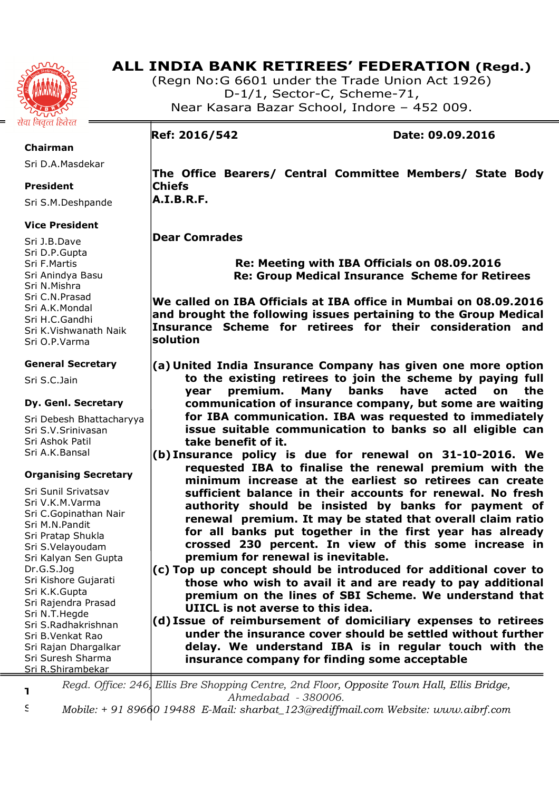

# **ALL INDIA BANK RETIREES' FEDERATION (Regd.)**

(Regn No:G 6601 under the Trade Union Act 1926) D-1/1, Sector-C, Scheme-71, Near Kasara Bazar School, Indore – 452 009.

# **Ref: 2016/542 Date: 09.09.2016**

**The Office Bearers/ Central Committee Members/ State Body Chiefs A.I.B.R.F.** 

# **Dear Comrades**

 **Re: Meeting with IBA Officials on 08.09.2016 Re: Group Medical Insurance Scheme for Retirees** 

**We called on IBA Officials at IBA office in Mumbai on 08.09.2016 and brought the following issues pertaining to the Group Medical Insurance Scheme for retirees for their consideration and solution** 

- **(a) United India Insurance Company has given one more option to the existing retirees to join the scheme by paying full year premium. Many banks have acted on the communication of insurance company, but some are waiting for IBA communication. IBA was requested to immediately issue suitable communication to banks so all eligible can take benefit of it.**
- **(b) Insurance policy is due for renewal on 31-10-2016. We requested IBA to finalise the renewal premium with the minimum increase at the earliest so retirees can create sufficient balance in their accounts for renewal. No fresh authority should be insisted by banks for payment of renewal premium. It may be stated that overall claim ratio for all banks put together in the first year has already crossed 230 percent. In view of this some increase in premium for renewal is inevitable.**
- **(c) Top up concept should be introduced for additional cover to those who wish to avail it and are ready to pay additional premium on the lines of SBI Scheme. We understand that UIICL is not averse to this idea.**

**(d) Issue of reimbursement of domiciliary expenses to retirees under the insurance cover should be settled without further delay. We understand IBA is in regular touch with the insurance company for finding some acceptable** 

**Treasurer**  *Regd. Office: 246, Ellis Bre Shopping Centre, 2nd Floor, Opposite Town Hall, Ellis Bridge, Ahmedabad - 380006.* 

Sri M.S.Chourey *Mobile: + 91 89660 19488 E-Mail: sharbat\_123@rediffmail.com Website: www.aibrf.com* 

**Chairman** 

Sri D.A.Masdekar

### **President**

Sri S.M.Deshpande

# **Vice President**

Sri J.B.Dave Sri D.P.Gupta Sri F.Martis Sri Anindya Basu Sri N.Mishra Sri C.N.Prasad Sri A.K.Mondal Sri H.C.Gandhi Sri K.Vishwanath Naik Sri O.P.Varma

# **General Secretary**

Sri S.C.Jain

# **Dy. Genl. Secretary**

Sri Debesh Bhattacharyya Sri S.V.Srinivasan Sri Ashok Patil Sri A.K.Bansal

# **Organising Secretary**

Sri Sunil Srivatsav Sri V.K.M.Varma Sri C.Gopinathan Nair Sri M.N.Pandit Sri Pratap Shukla Sri S.Velayoudam Sri Kalyan Sen Gupta Dr.G.S.Jog Sri Kishore Gujarati Sri K.K.Gupta Sri Rajendra Prasad Sri N.T.Hegde Sri S.Radhakrishnan Sri B.Venkat Rao Sri Rajan Dhargalkar Sri Suresh Sharma Sri R.Shirambekar